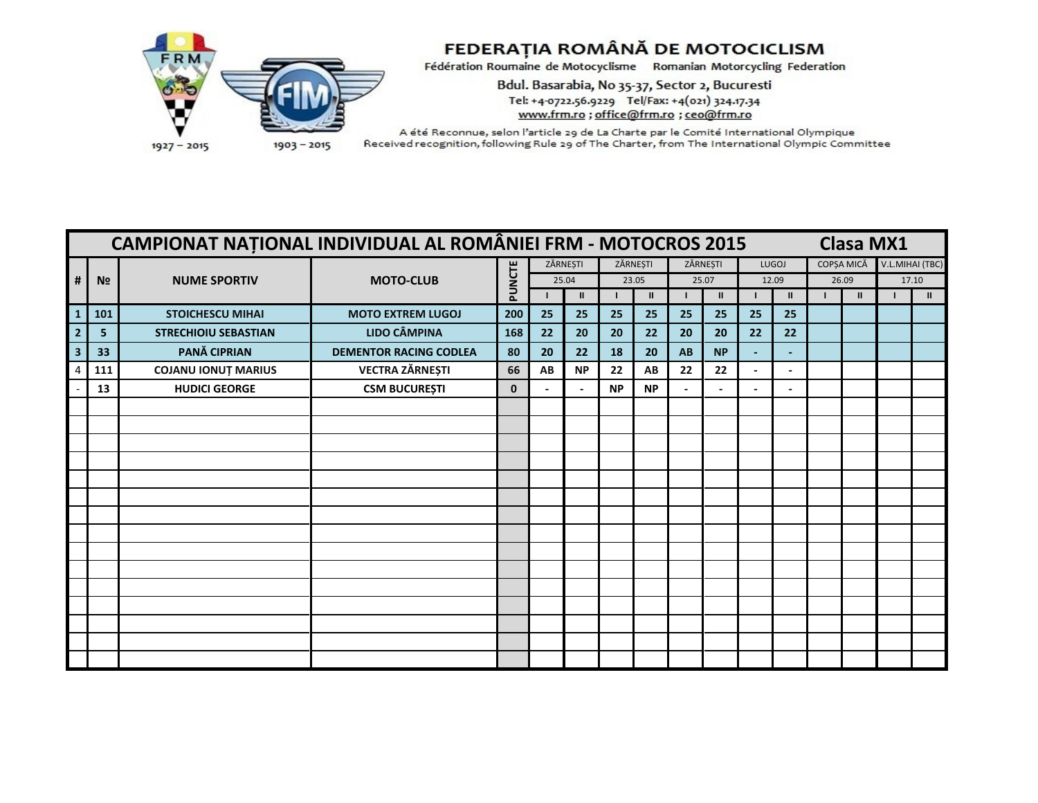

Bdul. Basarabia, No 35-37, Sector 2, Bucuresti Tel: +4-0722.56.9229 Tel/Fax: +4(021) 324.17.34 www.frm.ro ; office@frm.ro ; ceo@frm.ro

|                         |                | CAMPIONAT NAȚIONAL INDIVIDUAL AL ROMÂNIEI FRM - MOTOCROS 2015 |                               |             |          |              |           |               |          |               |                |                          | <b>Clasa MX1</b> |                 |
|-------------------------|----------------|---------------------------------------------------------------|-------------------------------|-------------|----------|--------------|-----------|---------------|----------|---------------|----------------|--------------------------|------------------|-----------------|
|                         |                |                                                               |                               |             | ZĂRNESTI |              |           | ZĂRNESTI      | ZĂRNEȘTI |               |                | LUGOJ                    | COPȘA MICĂ       | V.L.MIHAI (TBC) |
| #                       | N <sub>2</sub> | <b>NUME SPORTIV</b>                                           | <b>MOTO-CLUB</b>              | PUNCTE      |          | 25.04        |           | 23.05         |          | 25.07         | 12.09          |                          | 26.09            | 17.10           |
|                         |                |                                                               |                               |             |          | $\mathbf{I}$ |           | $\mathbf{II}$ |          | $\mathbf{II}$ |                | $\mathbf{I}$             | $\mathbf{u}$     | $\mathbf{H}$    |
| $\mathbf{1}$            | 101            | <b>STOICHESCU MIHAI</b>                                       | <b>MOTO EXTREM LUGOJ</b>      | 200         | 25       | 25           | 25        | 25            | 25       | 25            | 25             | 25                       |                  |                 |
|                         | 5              | <b>STRECHIOIU SEBASTIAN</b>                                   | <b>LIDO CÂMPINA</b>           | 168         | 22       | 20           | 20        | 22            | 20       | 20            | 22             | 22                       |                  |                 |
| $\overline{\mathbf{3}}$ | 33             | PANĂ CIPRIAN                                                  | <b>DEMENTOR RACING CODLEA</b> | 80          | 20       | 22           | 18        | 20            | AB       | <b>NP</b>     | $\blacksquare$ | $\blacksquare$           |                  |                 |
|                         | 111            | <b>COJANU IONUT MARIUS</b>                                    | <b>VECTRA ZĂRNEȘTI</b>        | 66          | AB       | <b>NP</b>    | 22        | AB            | 22       | 22            | $\blacksquare$ | $\overline{\phantom{0}}$ |                  |                 |
|                         | 13             | <b>HUDICI GEORGE</b>                                          | <b>CSM BUCUREȘTI</b>          | $\mathbf 0$ |          |              | <b>NP</b> | <b>NP</b>     |          |               |                | $\blacksquare$           |                  |                 |
|                         |                |                                                               |                               |             |          |              |           |               |          |               |                |                          |                  |                 |
|                         |                |                                                               |                               |             |          |              |           |               |          |               |                |                          |                  |                 |
|                         |                |                                                               |                               |             |          |              |           |               |          |               |                |                          |                  |                 |
|                         |                |                                                               |                               |             |          |              |           |               |          |               |                |                          |                  |                 |
|                         |                |                                                               |                               |             |          |              |           |               |          |               |                |                          |                  |                 |
|                         |                |                                                               |                               |             |          |              |           |               |          |               |                |                          |                  |                 |
|                         |                |                                                               |                               |             |          |              |           |               |          |               |                |                          |                  |                 |
|                         |                |                                                               |                               |             |          |              |           |               |          |               |                |                          |                  |                 |
|                         |                |                                                               |                               |             |          |              |           |               |          |               |                |                          |                  |                 |
|                         |                |                                                               |                               |             |          |              |           |               |          |               |                |                          |                  |                 |
|                         |                |                                                               |                               |             |          |              |           |               |          |               |                |                          |                  |                 |
|                         |                |                                                               |                               |             |          |              |           |               |          |               |                |                          |                  |                 |
|                         |                |                                                               |                               |             |          |              |           |               |          |               |                |                          |                  |                 |
|                         |                |                                                               |                               |             |          |              |           |               |          |               |                |                          |                  |                 |
|                         |                |                                                               |                               |             |          |              |           |               |          |               |                |                          |                  |                 |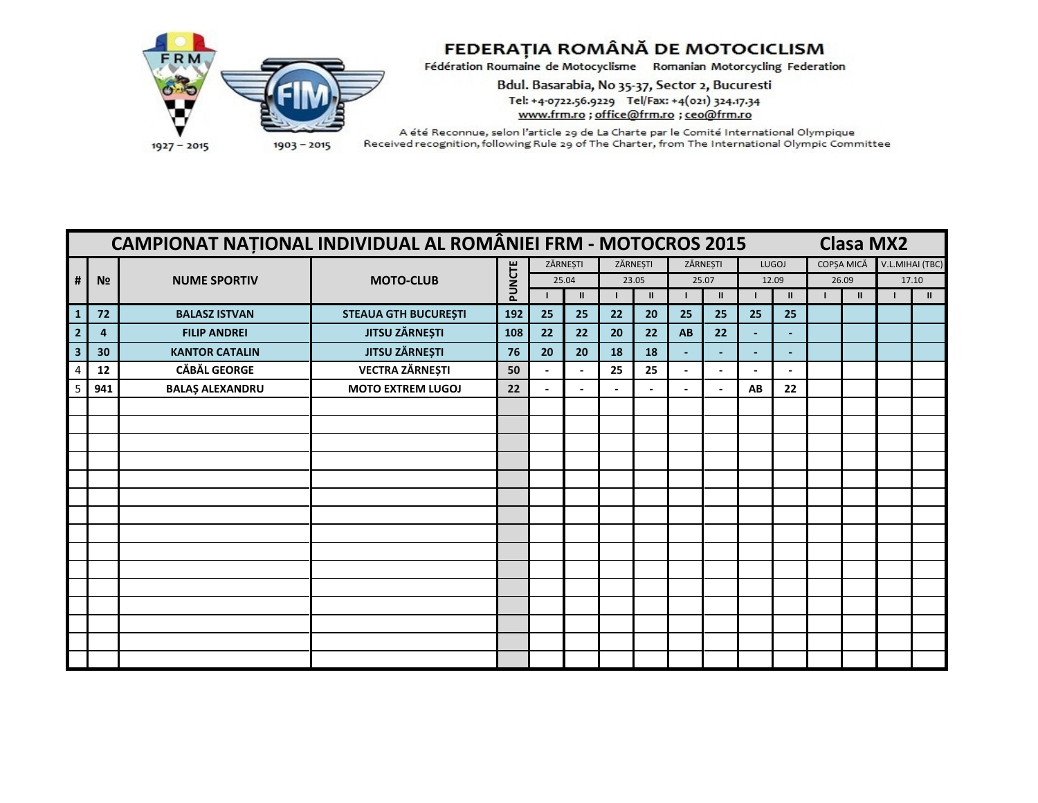

Bdul. Basarabia, No 35-37, Sector 2, Bucuresti Tel: +4-0722.56.9229 Tel/Fax: +4(021) 324.17.34 www.frm.ro ; office@frm.ro ; ceo@frm.ro

|                         |                | CAMPIONAT NAȚIONAL INDIVIDUAL AL ROMÂNIEI FRM - MOTOCROS 2015 |                             |        |          |              |    |               |          |                          |                |                | <b>Clasa MX2</b> |                 |
|-------------------------|----------------|---------------------------------------------------------------|-----------------------------|--------|----------|--------------|----|---------------|----------|--------------------------|----------------|----------------|------------------|-----------------|
|                         |                |                                                               |                             |        | ZĂRNEȘTI |              |    | ZĂRNEȘTI      | ZĂRNEȘTI |                          |                | LUGOJ          | COPȘA MICĂ       | V.L.MIHAI (TBC) |
| #                       | N <sub>2</sub> | <b>NUME SPORTIV</b>                                           | <b>MOTO-CLUB</b>            | PUNCTE |          | 25.04        |    | 23.05         |          | 25.07                    | 12.09          |                | 26.09            | 17.10           |
|                         |                |                                                               |                             |        |          | $\mathbf{I}$ |    | $\mathbf{II}$ |          | $\mathbf{II}$            |                | $\mathbf{I}$   | $\mathbf{u}$     | $\mathbf{H}$    |
| $\mathbf{1}$            | 72             | <b>BALASZ ISTVAN</b>                                          | <b>STEAUA GTH BUCUREȘTI</b> | 192    | 25       | 25           | 22 | 20            | 25       | 25                       | 25             | 25             |                  |                 |
| $\overline{2}$          | 4              | <b>FILIP ANDREI</b>                                           | <b>JITSU ZĂRNEȘTI</b>       | 108    | 22       | 22           | 20 | 22            | AB       | 22                       | $\blacksquare$ | ۳              |                  |                 |
| $\overline{\mathbf{3}}$ | 30             | <b>KANTOR CATALIN</b>                                         | <b>JITSU ZĂRNEȘTI</b>       | 76     | 20       | 20           | 18 | 18            |          | $\overline{\phantom{0}}$ | $\blacksquare$ | $\blacksquare$ |                  |                 |
|                         | 12             | <b>CĂBĂL GEORGE</b>                                           | <b>VECTRA ZĂRNEȘTI</b>      | 50     |          |              | 25 | 25            |          |                          |                |                |                  |                 |
| 5                       | 941            | <b>BALAŞ ALEXANDRU</b>                                        | <b>MOTO EXTREM LUGOJ</b>    | 22     |          |              |    |               |          |                          | AB             | 22             |                  |                 |
|                         |                |                                                               |                             |        |          |              |    |               |          |                          |                |                |                  |                 |
|                         |                |                                                               |                             |        |          |              |    |               |          |                          |                |                |                  |                 |
|                         |                |                                                               |                             |        |          |              |    |               |          |                          |                |                |                  |                 |
|                         |                |                                                               |                             |        |          |              |    |               |          |                          |                |                |                  |                 |
|                         |                |                                                               |                             |        |          |              |    |               |          |                          |                |                |                  |                 |
|                         |                |                                                               |                             |        |          |              |    |               |          |                          |                |                |                  |                 |
|                         |                |                                                               |                             |        |          |              |    |               |          |                          |                |                |                  |                 |
|                         |                |                                                               |                             |        |          |              |    |               |          |                          |                |                |                  |                 |
|                         |                |                                                               |                             |        |          |              |    |               |          |                          |                |                |                  |                 |
|                         |                |                                                               |                             |        |          |              |    |               |          |                          |                |                |                  |                 |
|                         |                |                                                               |                             |        |          |              |    |               |          |                          |                |                |                  |                 |
|                         |                |                                                               |                             |        |          |              |    |               |          |                          |                |                |                  |                 |
|                         |                |                                                               |                             |        |          |              |    |               |          |                          |                |                |                  |                 |
|                         |                |                                                               |                             |        |          |              |    |               |          |                          |                |                |                  |                 |
|                         |                |                                                               |                             |        |          |              |    |               |          |                          |                |                |                  |                 |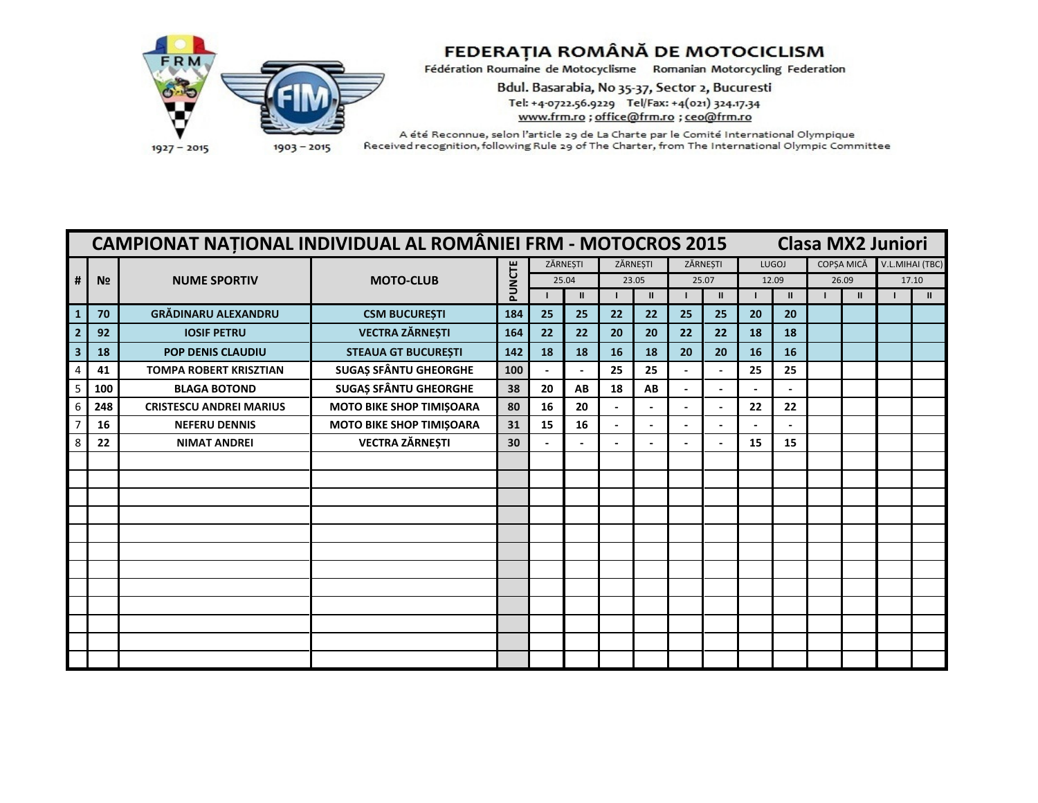

## FEDERAȚIA ROMÂNĂ DE MOTOCICLISM

Fédération Roumaine de Motocyclisme Romanian Motorcycling Federation

Bdul. Basarabia, No 35-37, Sector 2, Bucuresti Tel: +4-0722.56.9229 Tel/Fax: +4(021) 324.17.34 www.frm.ro ; office@frm.ro ; ceo@frm.ro

|   |                | <b>CAMPIONAT NATIONAL INDIVIDUAL AL ROMÂNIEI FRM - MOTOCROS 2015</b> |                                 |        |       |               |          | <b>Clasa MX2 Juniori</b> |                          |                |       |              |            |               |                 |               |
|---|----------------|----------------------------------------------------------------------|---------------------------------|--------|-------|---------------|----------|--------------------------|--------------------------|----------------|-------|--------------|------------|---------------|-----------------|---------------|
|   |                |                                                                      |                                 |        |       | ZĂRNEȘTI      | ZĂRNESTI |                          | ZĂRNESTI                 |                |       | LUGOJ        | COPȘA MICĂ |               | V.L.MIHAI (TBC) |               |
| # | N <sub>2</sub> | <b>NUME SPORTIV</b>                                                  | <b>MOTO-CLUB</b>                | PUNCTE | 25.04 |               | 23.05    |                          | 25.07                    |                | 12.09 |              |            | 26.09         | 17.10           |               |
|   |                |                                                                      |                                 |        |       | $\mathbf{II}$ |          | $\mathbf{II}$            |                          | $\mathbf{I}$   |       | $\mathbf{I}$ |            | $\mathbf{II}$ |                 | $\mathbf{II}$ |
|   | 70             | <b>GRĂDINARU ALEXANDRU</b>                                           | <b>CSM BUCUREȘTI</b>            | 184    | 25    | 25            | 22       | 22                       | 25                       | 25             | 20    | 20           |            |               |                 |               |
|   | 92             | <b>IOSIF PETRU</b>                                                   | <b>VECTRA ZĂRNEȘTI</b>          | 164    | 22    | 22            | 20       | 20                       | 22                       | 22             | 18    | 18           |            |               |                 |               |
|   | 18             | <b>POP DENIS CLAUDIU</b>                                             | <b>STEAUA GT BUCUREȘTI</b>      | 142    | 18    | 18            | 16       | 18                       | 20                       | 20             | 16    | 16           |            |               |                 |               |
|   | 41             | <b>TOMPA ROBERT KRISZTIAN</b>                                        | <b>SUGAȘ SFÂNTU GHEORGHE</b>    | 100    |       |               | 25       | 25                       |                          |                | 25    | 25           |            |               |                 |               |
|   | 100            | <b>BLAGA BOTOND</b>                                                  | <b>SUGAȘ SFÂNTU GHEORGHE</b>    | 38     | 20    | AB            | 18       | AB                       |                          |                |       |              |            |               |                 |               |
|   | 248            | <b>CRISTESCU ANDREI MARIUS</b>                                       | MOTO BIKE SHOP TIMIȘOARA        | 80     | 16    | 20            |          |                          |                          |                | 22    | 22           |            |               |                 |               |
|   | 16             | <b>NEFERU DENNIS</b>                                                 | <b>MOTO BIKE SHOP TIMIŞOARA</b> | 31     | 15    | 16            |          |                          |                          |                |       |              |            |               |                 |               |
|   | 22             | <b>NIMAT ANDREI</b>                                                  | <b>VECTRA ZĂRNEȘTI</b>          | 30     |       |               |          | $\overline{\phantom{a}}$ | $\overline{\phantom{0}}$ | $\blacksquare$ | 15    | 15           |            |               |                 |               |
|   |                |                                                                      |                                 |        |       |               |          |                          |                          |                |       |              |            |               |                 |               |
|   |                |                                                                      |                                 |        |       |               |          |                          |                          |                |       |              |            |               |                 |               |
|   |                |                                                                      |                                 |        |       |               |          |                          |                          |                |       |              |            |               |                 |               |
|   |                |                                                                      |                                 |        |       |               |          |                          |                          |                |       |              |            |               |                 |               |
|   |                |                                                                      |                                 |        |       |               |          |                          |                          |                |       |              |            |               |                 |               |
|   |                |                                                                      |                                 |        |       |               |          |                          |                          |                |       |              |            |               |                 |               |
|   |                |                                                                      |                                 |        |       |               |          |                          |                          |                |       |              |            |               |                 |               |
|   |                |                                                                      |                                 |        |       |               |          |                          |                          |                |       |              |            |               |                 |               |
|   |                |                                                                      |                                 |        |       |               |          |                          |                          |                |       |              |            |               |                 |               |
|   |                |                                                                      |                                 |        |       |               |          |                          |                          |                |       |              |            |               |                 |               |
|   |                |                                                                      |                                 |        |       |               |          |                          |                          |                |       |              |            |               |                 |               |
|   |                |                                                                      |                                 |        |       |               |          |                          |                          |                |       |              |            |               |                 |               |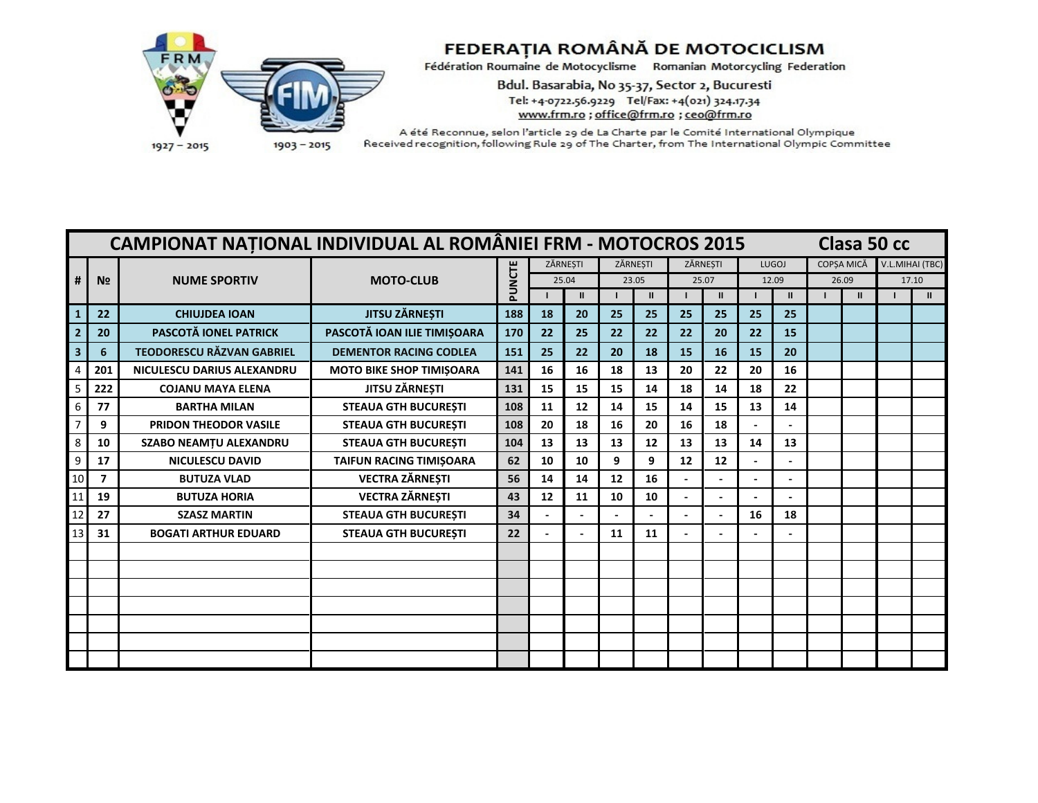

Bdul. Basarabia, No 35-37, Sector 2, Bucuresti Tel: +4-0722.56.9229 Tel/Fax: +4(021) 324.17.34 www.frm.ro ; office@frm.ro ; ceo@frm.ro

|                         |                | <b>CAMPIONAT NATIONAL INDIVIDUAL AL ROMÂNIEI FRM - MOTOCROS 2015</b> |                                 |        |    |               |       |               |          |               | Clasa 50 cc |               |            |  |                 |
|-------------------------|----------------|----------------------------------------------------------------------|---------------------------------|--------|----|---------------|-------|---------------|----------|---------------|-------------|---------------|------------|--|-----------------|
|                         |                |                                                                      |                                 |        |    | ZĂRNESTI      |       | ZĂRNESTI      | ZĂRNESTI |               |             | LUGOJ         | COPSA MICĂ |  | V.L.MIHAI (TBC) |
| #                       | N <sub>2</sub> | <b>NUME SPORTIV</b>                                                  | <b>MOTO-CLUB</b>                | PUNCTE |    | 25.04         | 23.05 |               | 25.07    |               |             | 12.09         | 26.09      |  | 17.10           |
|                         |                |                                                                      |                                 |        |    | $\mathbf{II}$ |       | $\mathbf{II}$ |          | $\mathbf{II}$ |             | $\mathbf{II}$ |            |  | $\mathbf{II}$   |
|                         | 22             | <b>CHIUJDEA IOAN</b>                                                 | <b>JITSU ZĂRNEȘTI</b>           | 188    | 18 | 20            | 25    | 25            | 25       | 25            | 25          | 25            |            |  |                 |
|                         | 20             | PASCOTĂ IONEL PATRICK                                                | PASCOTĂ IOAN ILIE TIMIȘOARA     | 170    | 22 | 25            | 22    | 22            | 22       | 20            | 22          | 15            |            |  |                 |
| $\overline{\mathbf{3}}$ | 6              | <b>TEODORESCU RĂZVAN GABRIEL</b>                                     | <b>DEMENTOR RACING CODLEA</b>   | 151    | 25 | 22            | 20    | 18            | 15       | 16            | 15          | 20            |            |  |                 |
|                         | 201            | NICULESCU DARIUS ALEXANDRU                                           | <b>MOTO BIKE SHOP TIMIŞOARA</b> | 141    | 16 | 16            | 18    | 13            | 20       | 22            | 20          | 16            |            |  |                 |
| 5                       | 222            | <b>COJANU MAYA ELENA</b>                                             | <b>JITSU ZÄRNESTI</b>           | 131    | 15 | 15            | 15    | 14            | 18       | 14            | 18          | 22            |            |  |                 |
| 6                       | 77             | <b>BARTHA MILAN</b>                                                  | <b>STEAUA GTH BUCURESTI</b>     | 108    | 11 | 12            | 14    | 15            | 14       | 15            | 13          | 14            |            |  |                 |
|                         | 9              | <b>PRIDON THEODOR VASILE</b>                                         | <b>STEAUA GTH BUCURESTI</b>     | 108    | 20 | 18            | 16    | 20            | 16       | 18            |             |               |            |  |                 |
|                         | 10             | <b>SZABO NEAMTU ALEXANDRU</b>                                        | <b>STEAUA GTH BUCURESTI</b>     | 104    | 13 | 13            | 13    | 12            | 13       | 13            | 14          | 13            |            |  |                 |
|                         | 17             | <b>NICULESCU DAVID</b>                                               | TAIFUN RACING TIMIȘOARA         | 62     | 10 | 10            | 9     | 9             | 12       | 12            |             |               |            |  |                 |
| 10                      | $\overline{7}$ | <b>BUTUZA VLAD</b>                                                   | <b>VECTRA ZĂRNEȘTI</b>          | 56     | 14 | 14            | 12    | 16            |          |               |             |               |            |  |                 |
|                         | 19             | <b>BUTUZA HORIA</b>                                                  | <b>VECTRA ZĂRNEȘTI</b>          | 43     | 12 | 11            | 10    | 10            |          |               |             |               |            |  |                 |
| 12                      | 27             | <b>SZASZ MARTIN</b>                                                  | <b>STEAUA GTH BUCURESTI</b>     | 34     |    |               |       |               |          |               | 16          | 18            |            |  |                 |
|                         | 31             | <b>BOGATI ARTHUR EDUARD</b>                                          | <b>STEAUA GTH BUCURESTI</b>     | 22     |    |               | 11    | 11            |          |               |             |               |            |  |                 |
|                         |                |                                                                      |                                 |        |    |               |       |               |          |               |             |               |            |  |                 |
|                         |                |                                                                      |                                 |        |    |               |       |               |          |               |             |               |            |  |                 |
|                         |                |                                                                      |                                 |        |    |               |       |               |          |               |             |               |            |  |                 |
|                         |                |                                                                      |                                 |        |    |               |       |               |          |               |             |               |            |  |                 |
|                         |                |                                                                      |                                 |        |    |               |       |               |          |               |             |               |            |  |                 |
|                         |                |                                                                      |                                 |        |    |               |       |               |          |               |             |               |            |  |                 |
|                         |                |                                                                      |                                 |        |    |               |       |               |          |               |             |               |            |  |                 |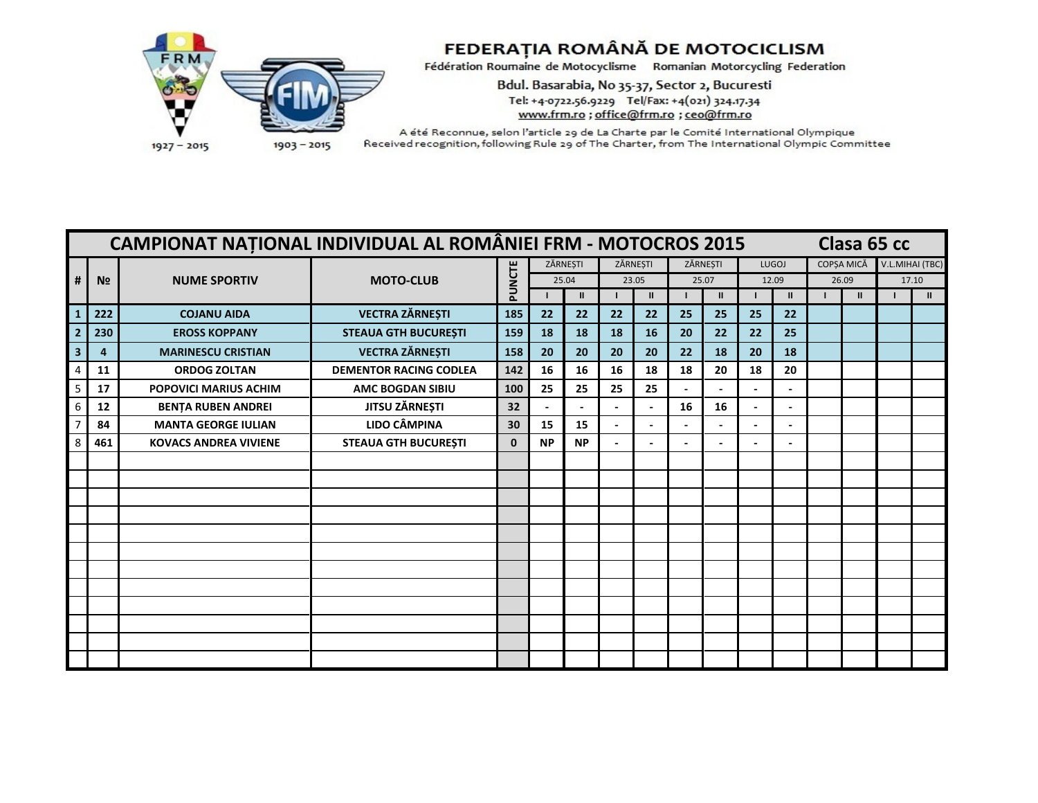

Bdul. Basarabia, No 35-37, Sector 2, Bucuresti Tel: +4-0722.56.9229 Tel/Fax: +4(021) 324.17.34 www.frm.ro ; office@frm.ro ; ceo@frm.ro

|                         |                | <b>CAMPIONAT NATIONAL INDIVIDUAL AL ROMÂNIEI FRM - MOTOCROS 2015</b> |                               |              |           |              |                |                |                          |                |                |                |            | Clasa 65 cc |                 |
|-------------------------|----------------|----------------------------------------------------------------------|-------------------------------|--------------|-----------|--------------|----------------|----------------|--------------------------|----------------|----------------|----------------|------------|-------------|-----------------|
|                         |                |                                                                      |                               |              |           | ZĂRNESTI     |                | ZĂRNESTI       | ZĂRNESTI                 |                |                | LUGOJ          | COPSA MICĂ |             | V.L.MIHAI (TBC) |
| #                       | N <sub>2</sub> | <b>NUME SPORTIV</b>                                                  | <b>MOTO-CLUB</b>              | PUNCTE       |           | 25.04        |                | 23.05          | 25.07                    |                | 12.09          |                | 26.09      |             | 17.10           |
|                         |                |                                                                      |                               |              |           | $\mathbf{H}$ |                | Ш              |                          | $\mathbf{II}$  |                | $\mathbf{H}$   | Ш          |             | $\mathbf{H}$    |
| $\mathbf{1}$            | 222            | <b>COJANU AIDA</b>                                                   | <b>VECTRA ZĂRNEȘTI</b>        | 185          | 22        | 22           | 22             | 22             | 25                       | 25             | 25             | 22             |            |             |                 |
|                         | 230            | <b>EROSS KOPPANY</b>                                                 | <b>STEAUA GTH BUCUREȘTI</b>   | 159          | 18        | 18           | 18             | 16             | 20                       | 22             | 22             | 25             |            |             |                 |
| $\overline{\mathbf{3}}$ | 4              | <b>MARINESCU CRISTIAN</b>                                            | <b>VECTRA ZĂRNEȘTI</b>        | 158          | 20        | 20           | 20             | 20             | 22                       | 18             | 20             | 18             |            |             |                 |
|                         | 11             | <b>ORDOG ZOLTAN</b>                                                  | <b>DEMENTOR RACING CODLEA</b> | 142          | 16        | 16           | 16             | 18             | 18                       | 20             | 18             | 20             |            |             |                 |
| 5                       | 17             | <b>POPOVICI MARIUS ACHIM</b>                                         | <b>AMC BOGDAN SIBIU</b>       | 100          | 25        | 25           | 25             | 25             |                          |                |                |                |            |             |                 |
| 6                       | 12             | <b>BENTA RUBEN ANDREI</b>                                            | JITSU ZĂRNEȘTI                | 32           |           |              |                |                | 16                       | 16             |                |                |            |             |                 |
|                         | 84             | <b>MANTA GEORGE IULIAN</b>                                           | <b>LIDO CÂMPINA</b>           | 30           | 15        | 15           |                |                |                          |                | $\blacksquare$ | $\blacksquare$ |            |             |                 |
|                         | 461            | <b>KOVACS ANDREA VIVIENE</b>                                         | <b>STEAUA GTH BUCUREȘTI</b>   | $\mathbf{0}$ | <b>NP</b> | <b>NP</b>    | $\blacksquare$ | $\blacksquare$ | $\overline{\phantom{a}}$ | $\blacksquare$ | $\blacksquare$ | $\blacksquare$ |            |             |                 |
|                         |                |                                                                      |                               |              |           |              |                |                |                          |                |                |                |            |             |                 |
|                         |                |                                                                      |                               |              |           |              |                |                |                          |                |                |                |            |             |                 |
|                         |                |                                                                      |                               |              |           |              |                |                |                          |                |                |                |            |             |                 |
|                         |                |                                                                      |                               |              |           |              |                |                |                          |                |                |                |            |             |                 |
|                         |                |                                                                      |                               |              |           |              |                |                |                          |                |                |                |            |             |                 |
|                         |                |                                                                      |                               |              |           |              |                |                |                          |                |                |                |            |             |                 |
|                         |                |                                                                      |                               |              |           |              |                |                |                          |                |                |                |            |             |                 |
|                         |                |                                                                      |                               |              |           |              |                |                |                          |                |                |                |            |             |                 |
|                         |                |                                                                      |                               |              |           |              |                |                |                          |                |                |                |            |             |                 |
|                         |                |                                                                      |                               |              |           |              |                |                |                          |                |                |                |            |             |                 |
|                         |                |                                                                      |                               |              |           |              |                |                |                          |                |                |                |            |             |                 |
|                         |                |                                                                      |                               |              |           |              |                |                |                          |                |                |                |            |             |                 |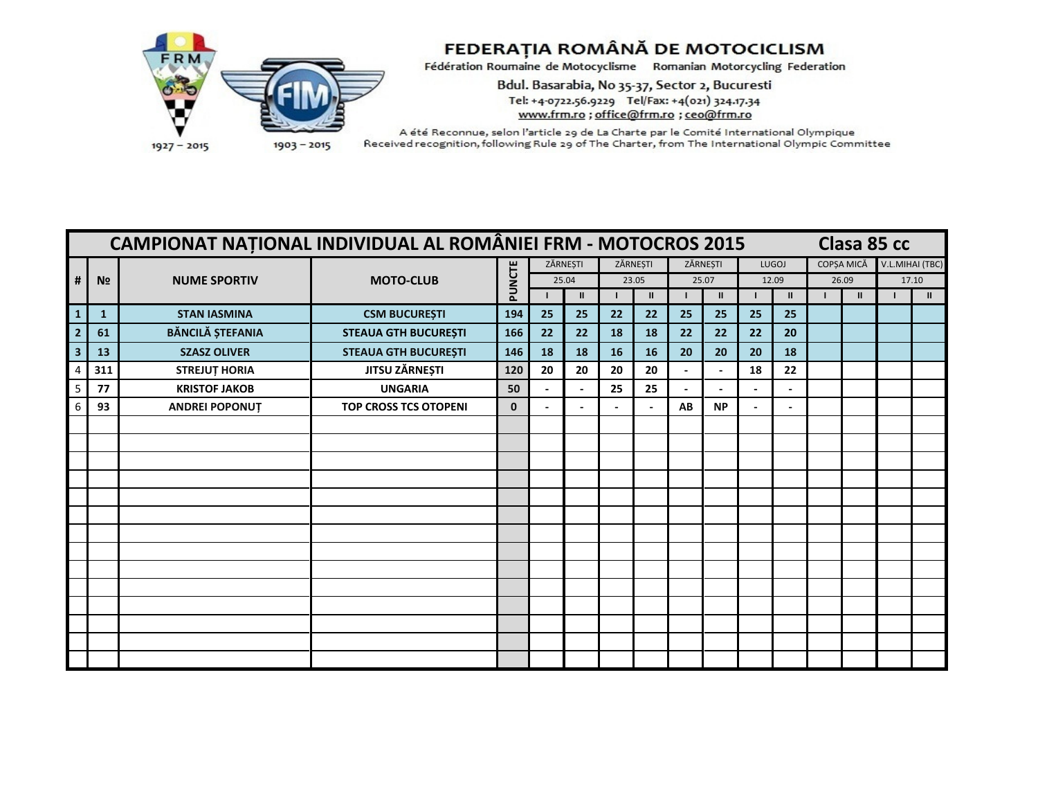

Bdul. Basarabia, No 35-37, Sector 2, Bucuresti Tel: +4-0722.56.9229 Tel/Fax: +4(021) 324.17.34 www.frm.ro ; office@frm.ro ; ceo@frm.ro

|                         |                | <b>CAMPIONAT NATIONAL INDIVIDUAL AL ROMÂNIEI FRM - MOTOCROS 2015</b> |                              |              |          |              |    |               |          |               |       |              |            | Clasa 85 cc |                 |
|-------------------------|----------------|----------------------------------------------------------------------|------------------------------|--------------|----------|--------------|----|---------------|----------|---------------|-------|--------------|------------|-------------|-----------------|
|                         |                |                                                                      |                              |              | ZĂRNEȘTI |              |    | ZĂRNEȘTI      | ZĂRNEȘTI |               |       | LUGOJ        | COPȘA MICĂ |             | V.L.MIHAI (TBC) |
| #                       | N <sub>2</sub> | <b>NUME SPORTIV</b>                                                  | <b>MOTO-CLUB</b>             | PUNCTE       |          | 25.04        |    | 23.05         |          | 25.07         | 12.09 |              | 26.09      |             | 17.10           |
|                         |                |                                                                      |                              |              |          | $\mathbf{H}$ |    | $\mathbf{II}$ |          | $\mathbf{II}$ |       | $\mathbf{I}$ | Ш          |             | $\mathbf{II}$   |
| $\mathbf{1}$            | $\mathbf{1}$   | <b>STAN IASMINA</b>                                                  | <b>CSM BUCUREȘTI</b>         | 194          | 25       | 25           | 22 | 22            | 25       | 25            | 25    | 25           |            |             |                 |
|                         | 61             | <b>BĂNCILĂ ȘTEFANIA</b>                                              | <b>STEAUA GTH BUCUREȘTI</b>  | 166          | 22       | 22           | 18 | 18            | 22       | 22            | 22    | 20           |            |             |                 |
| $\overline{\mathbf{3}}$ | 13             | <b>SZASZ OLIVER</b>                                                  | <b>STEAUA GTH BUCUREȘTI</b>  | 146          | 18       | 18           | 16 | 16            | 20       | 20            | 20    | 18           |            |             |                 |
|                         | 311            | <b>STREJUT HORIA</b>                                                 | <b>JITSU ZÄRNEȘTI</b>        | 120          | 20       | 20           | 20 | 20            |          |               | 18    | 22           |            |             |                 |
| 5                       | 77             | <b>KRISTOF JAKOB</b>                                                 | <b>UNGARIA</b>               | 50           |          |              | 25 | 25            |          |               |       |              |            |             |                 |
|                         | 93             | <b>ANDREI POPONUT</b>                                                | <b>TOP CROSS TCS OTOPENI</b> | $\mathbf{0}$ |          |              |    |               | AB       | <b>NP</b>     |       |              |            |             |                 |
|                         |                |                                                                      |                              |              |          |              |    |               |          |               |       |              |            |             |                 |
|                         |                |                                                                      |                              |              |          |              |    |               |          |               |       |              |            |             |                 |
|                         |                |                                                                      |                              |              |          |              |    |               |          |               |       |              |            |             |                 |
|                         |                |                                                                      |                              |              |          |              |    |               |          |               |       |              |            |             |                 |
|                         |                |                                                                      |                              |              |          |              |    |               |          |               |       |              |            |             |                 |
|                         |                |                                                                      |                              |              |          |              |    |               |          |               |       |              |            |             |                 |
|                         |                |                                                                      |                              |              |          |              |    |               |          |               |       |              |            |             |                 |
|                         |                |                                                                      |                              |              |          |              |    |               |          |               |       |              |            |             |                 |
|                         |                |                                                                      |                              |              |          |              |    |               |          |               |       |              |            |             |                 |
|                         |                |                                                                      |                              |              |          |              |    |               |          |               |       |              |            |             |                 |
|                         |                |                                                                      |                              |              |          |              |    |               |          |               |       |              |            |             |                 |
|                         |                |                                                                      |                              |              |          |              |    |               |          |               |       |              |            |             |                 |
|                         |                |                                                                      |                              |              |          |              |    |               |          |               |       |              |            |             |                 |
|                         |                |                                                                      |                              |              |          |              |    |               |          |               |       |              |            |             |                 |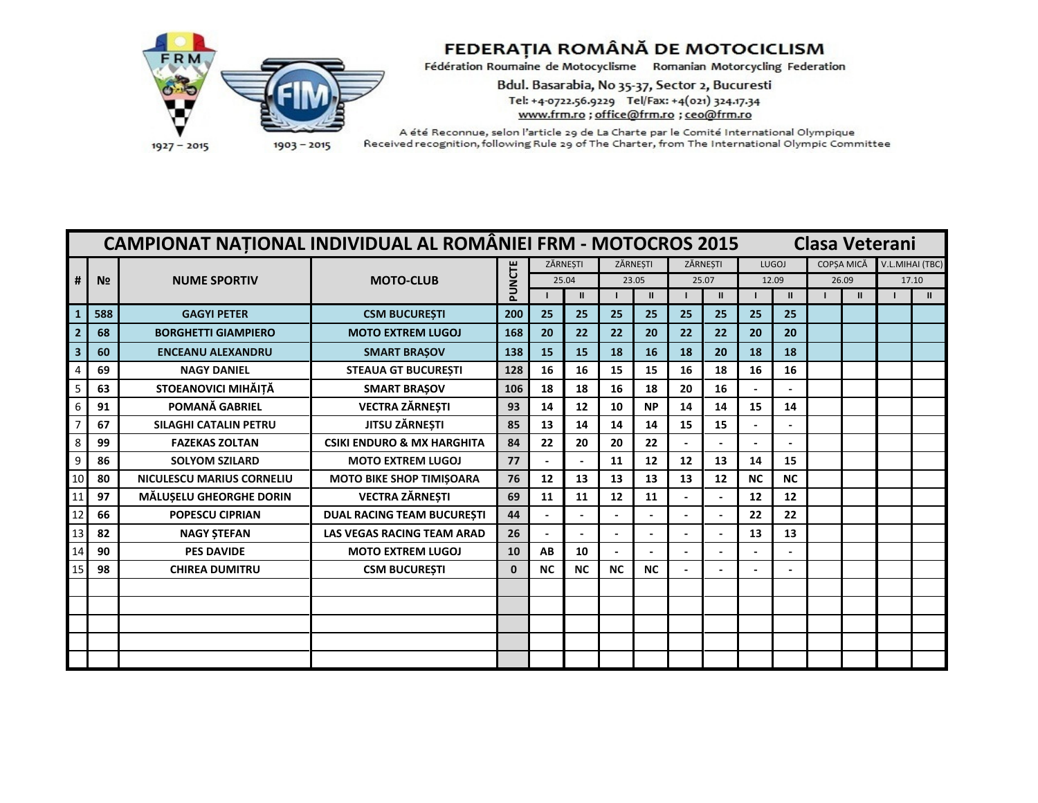

Bdul. Basarabia, No 35-37, Sector 2, Bucuresti Tel: +4-0722.56.9229 Tel/Fax: +4(021) 324.17.34 www.frm.ro ; office@frm.ro ; ceo@frm.ro

|    | <b>CAMPIONAT NATIONAL INDIVIDUAL AL ROMÂNIEI FRM - MOTOCROS 2015</b><br>Clasa Veterani<br>V.L.MIHAI (TBC)<br>ZĂRNESTI<br>ZĂRNESTI<br>ZĂRNESTI<br>LUGOJ<br>COPSA MICĂ |                              |                                       |              |                                     |              |           |               |       |               |                |                |  |       |       |               |
|----|----------------------------------------------------------------------------------------------------------------------------------------------------------------------|------------------------------|---------------------------------------|--------------|-------------------------------------|--------------|-----------|---------------|-------|---------------|----------------|----------------|--|-------|-------|---------------|
|    |                                                                                                                                                                      |                              |                                       |              |                                     |              |           |               |       |               |                |                |  |       |       |               |
| #  | N <sub>2</sub>                                                                                                                                                       | <b>NUME SPORTIV</b>          | <b>MOTO-CLUB</b>                      | PUNCTE       |                                     | 25.04        |           | 23.05         | 25.07 |               |                | 12.09          |  | 26.09 | 17.10 |               |
|    |                                                                                                                                                                      |                              |                                       |              |                                     | $\mathbf{u}$ |           | $\mathbf{II}$ |       | $\mathbf{II}$ |                | $\mathbf{II}$  |  |       |       | $\mathbf{II}$ |
|    | 588                                                                                                                                                                  | <b>GAGYI PETER</b>           | <b>CSM BUCURESTI</b>                  | 200          | 25                                  | 25           | 25        | 25            | 25    | 25            | 25             | 25             |  |       |       |               |
|    | 68                                                                                                                                                                   | <b>BORGHETTI GIAMPIERO</b>   | <b>MOTO EXTREM LUGOJ</b>              | 168          | 20                                  | 22           | 22        | 20            | 22    | 22            | 20             | 20             |  |       |       |               |
|    | 60                                                                                                                                                                   | <b>ENCEANU ALEXANDRU</b>     | <b>SMART BRAŞOV</b>                   | 138          | 15                                  | 15           | 18        | 16            | 18    | 20            | 18             | 18             |  |       |       |               |
|    | 69                                                                                                                                                                   | <b>NAGY DANIEL</b>           | <b>STEAUA GT BUCURESTI</b>            | 128          | 16                                  | 16           | 15        | 15            | 16    | 18            | 16             | 16             |  |       |       |               |
|    | 63                                                                                                                                                                   | STOEANOVICI MIHĂIȚĂ          | <b>SMART BRAŞOV</b>                   | 106          | 18                                  | 18           | 16        | 18            | 20    | 16            |                |                |  |       |       |               |
|    | 91                                                                                                                                                                   | POMANĂ GABRIEL               | <b>VECTRA ZĂRNEȘTI</b>                | 93           | 14                                  | 12           | 10        | <b>NP</b>     | 14    | 14            | 15             | 14             |  |       |       |               |
|    | 67                                                                                                                                                                   | <b>SILAGHI CATALIN PETRU</b> | JITSU ZĂRNEȘTI                        | 85           | 13                                  | 14           | 14        | 14            | 15    | 15            |                |                |  |       |       |               |
|    | 99                                                                                                                                                                   | <b>FAZEKAS ZOLTAN</b>        | <b>CSIKI ENDURO &amp; MX HARGHITA</b> | 84           | 22                                  | 20           | 20        | 22            |       |               | $\blacksquare$ | $\blacksquare$ |  |       |       |               |
|    | 86                                                                                                                                                                   | <b>SOLYOM SZILARD</b>        | <b>MOTO EXTREM LUGOJ</b>              | 77           |                                     |              | 11        | 12            | 12    | 13            | 14             | 15             |  |       |       |               |
|    | 80                                                                                                                                                                   | NICULESCU MARIUS CORNELIU    | <b>MOTO BIKE SHOP TIMISOARA</b>       | 76           | 12                                  | 13           | 13        | 13            | 13    | 12            | <b>NC</b>      | <b>NC</b>      |  |       |       |               |
|    | 97                                                                                                                                                                   | MĂLUȘELU GHEORGHE DORIN      | <b>VECTRA ZĂRNEȘTI</b>                | 69           | 11                                  | 11           | 12        | 11            |       |               | 12             | 12             |  |       |       |               |
|    | 66                                                                                                                                                                   | <b>POPESCU CIPRIAN</b>       | <b>DUAL RACING TEAM BUCURESTI</b>     | 44           |                                     |              |           |               |       |               | 22             | 22             |  |       |       |               |
| 13 | 82                                                                                                                                                                   | <b>NAGY STEFAN</b>           | <b>LAS VEGAS RACING TEAM ARAD</b>     | 26           |                                     |              |           |               |       |               | 13             | 13             |  |       |       |               |
| 14 | 90                                                                                                                                                                   | <b>PES DAVIDE</b>            | <b>MOTO EXTREM LUGOJ</b>              | 10           | $\boldsymbol{\mathsf{A}\mathsf{B}}$ | 10           |           |               |       |               |                |                |  |       |       |               |
|    | 98                                                                                                                                                                   | <b>CHIREA DUMITRU</b>        | <b>CSM BUCUREȘTI</b>                  | $\mathbf{0}$ | <b>NC</b>                           | <b>NC</b>    | <b>NC</b> | <b>NC</b>     |       |               |                |                |  |       |       |               |
|    |                                                                                                                                                                      |                              |                                       |              |                                     |              |           |               |       |               |                |                |  |       |       |               |
|    |                                                                                                                                                                      |                              |                                       |              |                                     |              |           |               |       |               |                |                |  |       |       |               |
|    |                                                                                                                                                                      |                              |                                       |              |                                     |              |           |               |       |               |                |                |  |       |       |               |
|    |                                                                                                                                                                      |                              |                                       |              |                                     |              |           |               |       |               |                |                |  |       |       |               |
|    |                                                                                                                                                                      |                              |                                       |              |                                     |              |           |               |       |               |                |                |  |       |       |               |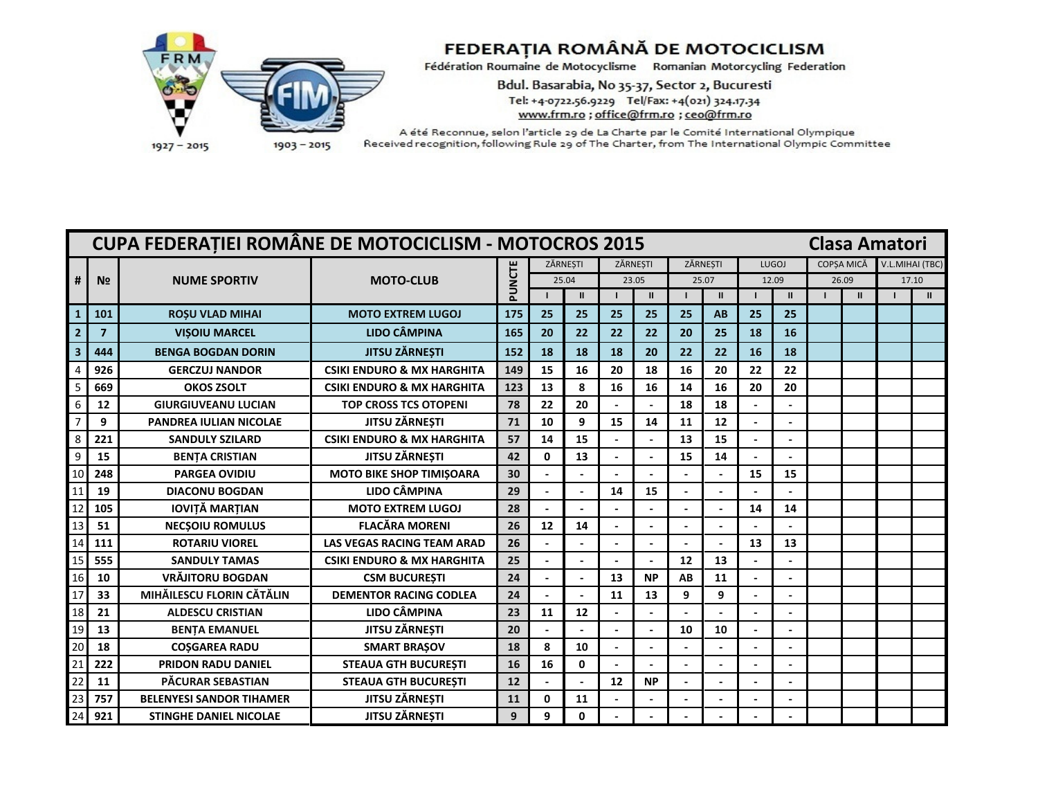

Bdul. Basarabia, No 35-37, Sector 2, Bucuresti Tel: +4-0722.56.9229 Tel/Fax: +4(021) 324.17.34 www.frm.ro ; office@frm.ro ; ceo@frm.ro

|                 |                | CUPA FEDERAȚIEI ROMÂNE DE MOTOCICLISM - MOTOCROS 2015 |                                       |        |              |               |       |              |          |               |                          |                |                   | <b>Clasa Amatori</b> |       |                 |
|-----------------|----------------|-------------------------------------------------------|---------------------------------------|--------|--------------|---------------|-------|--------------|----------|---------------|--------------------------|----------------|-------------------|----------------------|-------|-----------------|
|                 |                |                                                       |                                       |        |              | ZĂRNESTI      |       | ZĂRNESTI     | ZĂRNESTI |               |                          | <b>LUGOJ</b>   | <b>COPSA MICĂ</b> |                      |       | V.L.MIHAI (TBC) |
| #               | N <sub>2</sub> | <b>NUME SPORTIV</b>                                   | <b>MOTO-CLUB</b>                      | PUNCTE |              | 25.04         | 23.05 |              | 25.07    |               | 12.09                    |                | 26.09             |                      | 17.10 |                 |
|                 |                |                                                       |                                       |        |              | $\mathbf{II}$ |       | $\mathbf{I}$ |          | $\mathbf{II}$ |                          | $\mathbf{II}$  |                   | $\mathbf{II}$        |       | $\mathbf{H}$    |
|                 | 101            | <b>ROSU VLAD MIHAI</b>                                | <b>MOTO EXTREM LUGOJ</b>              | 175    | 25           | 25            | 25    | 25           | 25       | AB            | 25                       | 25             |                   |                      |       |                 |
|                 | $\overline{7}$ | <b>VISOIU MARCEL</b>                                  | <b>LIDO CÂMPINA</b>                   | 165    | 20           | 22            | 22    | 22           | 20       | 25            | 18                       | 16             |                   |                      |       |                 |
|                 | 444            | <b>BENGA BOGDAN DORIN</b>                             | <b>JITSU ZĂRNEȘTI</b>                 | 152    | 18           | 18            | 18    | 20           | 22       | 22            | 16                       | 18             |                   |                      |       |                 |
|                 | 926            | <b>GERCZUJ NANDOR</b>                                 | <b>CSIKI ENDURO &amp; MX HARGHITA</b> | 149    | 15           | 16            | 20    | 18           | 16       | 20            | 22                       | 22             |                   |                      |       |                 |
|                 | 669            | <b>OKOS ZSOLT</b>                                     | <b>CSIKI ENDURO &amp; MX HARGHITA</b> | 123    | 13           | 8             | 16    | 16           | 14       | 16            | 20                       | 20             |                   |                      |       |                 |
|                 | 12             | <b>GIURGIUVEANU LUCIAN</b>                            | <b>TOP CROSS TCS OTOPENI</b>          | 78     | 22           | 20            |       |              | 18       | 18            |                          |                |                   |                      |       |                 |
| $\overline{7}$  | 9              | <b>PANDREA IULIAN NICOLAE</b>                         | JITSU ZĂRNEȘTI                        | 71     | 10           | 9             | 15    | 14           | 11       | 12            |                          |                |                   |                      |       |                 |
| 8               | 221            | <b>SANDULY SZILARD</b>                                | <b>CSIKI ENDURO &amp; MX HARGHITA</b> | 57     | 14           | 15            |       |              | 13       | 15            |                          |                |                   |                      |       |                 |
| 9               | 15             | <b>BENTA CRISTIAN</b>                                 | <b>JITSU ZÄRNESTI</b>                 | 42     | $\mathbf{0}$ | 13            |       |              | 15       | 14            | $\blacksquare$           |                |                   |                      |       |                 |
| 10              | 248            | <b>PARGEA OVIDIU</b>                                  | <b>MOTO BIKE SHOP TIMIŞOARA</b>       | 30     |              |               |       |              |          |               | 15                       | 15             |                   |                      |       |                 |
| 11              | 19             | <b>DIACONU BOGDAN</b>                                 | LIDO CÂMPINA                          | 29     |              |               | 14    | 15           |          |               |                          |                |                   |                      |       |                 |
|                 | 105            | <b>IOVITĂ MARȚIAN</b>                                 | <b>MOTO EXTREM LUGOJ</b>              | 28     |              |               |       |              |          |               | 14                       | 14             |                   |                      |       |                 |
| 13              | 51             | <b>NECSOIU ROMULUS</b>                                | <b>FLACĂRA MORENI</b>                 | 26     | 12           | 14            |       |              |          |               |                          |                |                   |                      |       |                 |
|                 | 111            | <b>ROTARIU VIOREL</b>                                 | <b>LAS VEGAS RACING TEAM ARAD</b>     | 26     |              |               |       |              |          |               | 13                       | 13             |                   |                      |       |                 |
| 15              | 555            | <b>SANDULY TAMAS</b>                                  | <b>CSIKI ENDURO &amp; MX HARGHITA</b> | 25     |              |               |       |              | 12       | 13            |                          |                |                   |                      |       |                 |
| 16              | 10             | <b>VRÄJITORU BOGDAN</b>                               | <b>CSM BUCURESTI</b>                  | 24     |              |               | 13    | <b>NP</b>    | AB       | 11            | ÷,                       |                |                   |                      |       |                 |
| 17              | 33             | MIHĂILESCU FLORIN CĂTĂLIN                             | <b>DEMENTOR RACING CODLEA</b>         | 24     |              |               | 11    | 13           | 9        | 9             |                          | $\overline{a}$ |                   |                      |       |                 |
| 18              | 21             | <b>ALDESCU CRISTIAN</b>                               | <b>LIDO CÂMPINA</b>                   | 23     | 11           | 12            |       |              |          |               |                          |                |                   |                      |       |                 |
| 19              | 13             | <b>BENTA EMANUEL</b>                                  | JITSU ZĂRNEȘTI                        | 20     |              |               |       |              | 10       | 10            | ÷,                       |                |                   |                      |       |                 |
| 20              | 18             | <b>COSGAREA RADU</b>                                  | <b>SMART BRAŞOV</b>                   | 18     | 8            | 10            |       |              |          |               |                          |                |                   |                      |       |                 |
| $\overline{21}$ | 222            | <b>PRIDON RADU DANIEL</b>                             | <b>STEAUA GTH BUCURESTI</b>           | 16     | 16           | 0             |       |              |          |               |                          |                |                   |                      |       |                 |
| 22              | 11             | PĂCURAR SEBASTIAN                                     | <b>STEAUA GTH BUCURESTI</b>           | 12     |              |               | 12    | <b>NP</b>    |          |               | $\overline{\phantom{a}}$ |                |                   |                      |       |                 |
| 23              | 757            | <b>BELENYESI SANDOR TIHAMER</b>                       | <b>JITSU ZĂRNEȘTI</b>                 | 11     | $\mathbf{0}$ | 11            |       |              |          |               |                          |                |                   |                      |       |                 |
| 24              | 921            | <b>STINGHE DANIEL NICOLAE</b>                         | <b>JITSU ZÄRNESTI</b>                 | 9      | 9            | 0             |       |              |          |               |                          |                |                   |                      |       |                 |